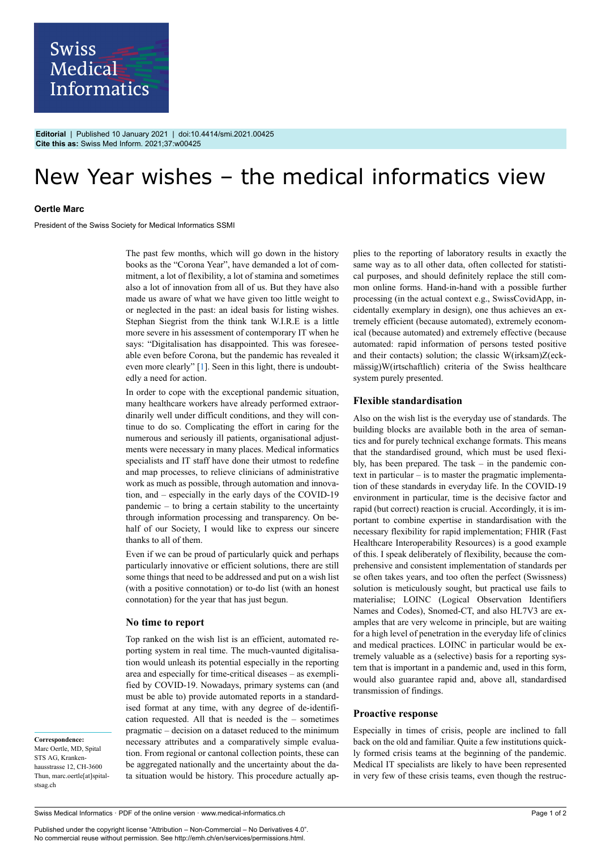

**Editorial** | Published 10 January 2021 | doi:10.4414/smi.2021.00425 **Cite this as:** Swiss Med Inform. 2021;37:w00425

# New Year wishes – the medical informatics view

### **Oertle Marc**

President of the Swiss Society for Medical Informatics SSMI

The past few months, which will go down in the history books as the "Corona Year", have demanded a lot of commitment, a lot of flexibility, a lot of stamina and sometimes also a lot of innovation from all of us. But they have also made us aware of what we have given too little weight to or neglected in the past: an ideal basis for listing wishes. Stephan Siegrist from the think tank W.I.R.E is a little more severe in his assessment of contemporary IT when he says: "Digitalisation has disappointed. This was foreseeable even before Corona, but the pandemic has revealed it even more clearly" [\[1\]](#page-1-0). Seen in this light, there is undoubtedly a need for action.

In order to cope with the exceptional pandemic situation, many healthcare workers have already performed extraordinarily well under difficult conditions, and they will continue to do so. Complicating the effort in caring for the numerous and seriously ill patients, organisational adjustments were necessary in many places. Medical informatics specialists and IT staff have done their utmost to redefine and map processes, to relieve clinicians of administrative work as much as possible, through automation and innovation, and – especially in the early days of the COVID-19 pandemic – to bring a certain stability to the uncertainty through information processing and transparency. On behalf of our Society, I would like to express our sincere thanks to all of them.

Even if we can be proud of particularly quick and perhaps particularly innovative or efficient solutions, there are still some things that need to be addressed and put on a wish list (with a positive connotation) or to-do list (with an honest connotation) for the year that has just begun.

## **No time to report**

Top ranked on the wish list is an efficient, automated reporting system in real time. The much-vaunted digitalisation would unleash its potential especially in the reporting area and especially for time-critical diseases – as exemplified by COVID-19. Nowadays, primary systems can (and must be able to) provide automated reports in a standardised format at any time, with any degree of de-identification requested. All that is needed is the – sometimes pragmatic – decision on a dataset reduced to the minimum necessary attributes and a comparatively simple evaluation. From regional or cantonal collection points, these can be aggregated nationally and the uncertainty about the data situation would be history. This procedure actually applies to the reporting of laboratory results in exactly the same way as to all other data, often collected for statistical purposes, and should definitely replace the still common online forms. Hand-in-hand with a possible further processing (in the actual context e.g., SwissCovidApp, incidentally exemplary in design), one thus achieves an extremely efficient (because automated), extremely economical (because automated) and extremely effective (because automated: rapid information of persons tested positive and their contacts) solution; the classic W(irksam)Z(eckmässig)W(irtschaftlich) criteria of the Swiss healthcare system purely presented.

## **Flexible standardisation**

Also on the wish list is the everyday use of standards. The building blocks are available both in the area of semantics and for purely technical exchange formats. This means that the standardised ground, which must be used flexibly, has been prepared. The task – in the pandemic context in particular – is to master the pragmatic implementation of these standards in everyday life. In the COVID-19 environment in particular, time is the decisive factor and rapid (but correct) reaction is crucial. Accordingly, it is important to combine expertise in standardisation with the necessary flexibility for rapid implementation; FHIR (Fast Healthcare Interoperability Resources) is a good example of this. I speak deliberately of flexibility, because the comprehensive and consistent implementation of standards per se often takes years, and too often the perfect (Swissness) solution is meticulously sought, but practical use fails to materialise; LOINC (Logical Observation Identifiers Names and Codes), Snomed-CT, and also HL7V3 are examples that are very welcome in principle, but are waiting for a high level of penetration in the everyday life of clinics and medical practices. LOINC in particular would be extremely valuable as a (selective) basis for a reporting system that is important in a pandemic and, used in this form, would also guarantee rapid and, above all, standardised transmission of findings.

# **Proactive response**

Especially in times of crisis, people are inclined to fall back on the old and familiar. Quite a few institutions quickly formed crisis teams at the beginning of the pandemic. Medical IT specialists are likely to have been represented in very few of these crisis teams, even though the restruc-

**Correspondence:** Marc Oertle, MD, Spital STS AG, Krankenhausstrasse 12, CH-3600 Thun, marc.oertle[at]spitalstsag.ch

Published under the copyright license "Attribution – Non-Commercial – No Derivatives 4.0". No commercial reuse without permission. See http://emh.ch/en/services/permissions.html.